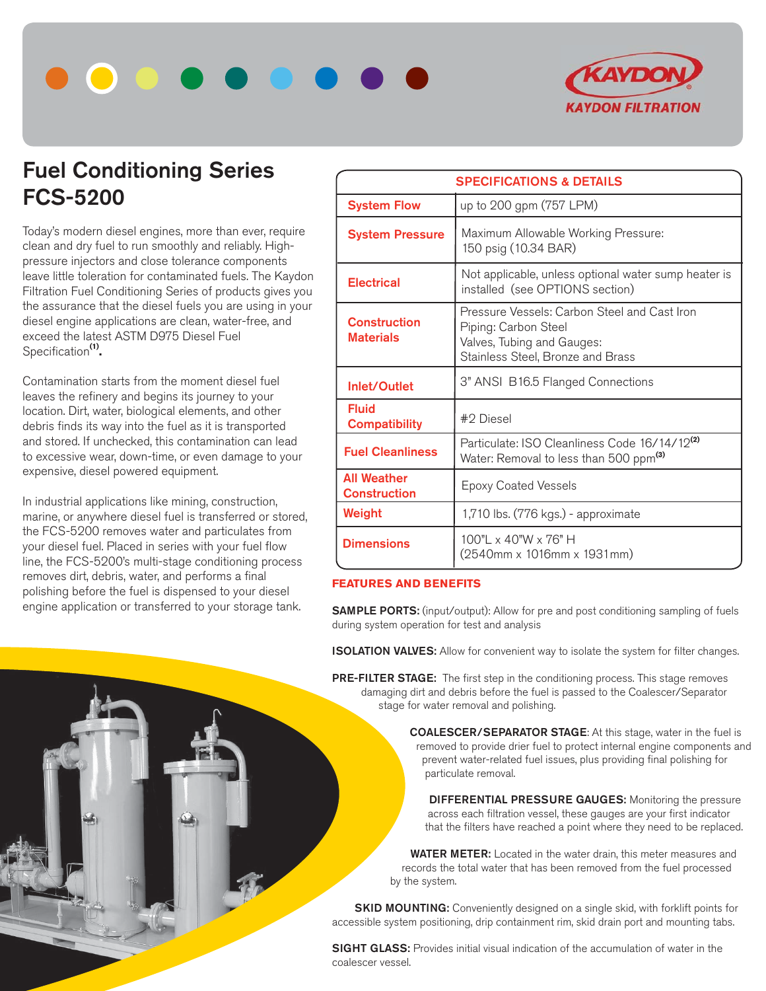



## **Fuel Conditioning Series FCS-5200**

Today's modern diesel engines, more than ever, require clean and dry fuel to run smoothly and reliably. Highpressure injectors and close tolerance components leave little toleration for contaminated fuels. The Kaydon Filtration Fuel Conditioning Series of products gives you the assurance that the diesel fuels you are using in your diesel engine applications are clean, water-free, and exceed the latest ASTM D975 Diesel Fuel Specification**(1).**

Contamination starts from the moment diesel fuel leaves the refinery and begins its journey to your location. Dirt, water, biological elements, and other debris finds its way into the fuel as it is transported and stored. If unchecked, this contamination can lead to excessive wear, down-time, or even damage to your expensive, diesel powered equipment.

In industrial applications like mining, construction, marine, or anywhere diesel fuel is transferred or stored, the FCS-5200 removes water and particulates from your diesel fuel. Placed in series with your fuel flow line, the FCS-5200's multi-stage conditioning process removes dirt, debris, water, and performs a final polishing before the fuel is dispensed to your diesel engine application or transferred to your storage tank.

| <b>SPECIFICATIONS &amp; DETAILS</b>       |                                                                                                                                         |  |  |
|-------------------------------------------|-----------------------------------------------------------------------------------------------------------------------------------------|--|--|
| <b>System Flow</b>                        | up to 200 gpm (757 LPM)                                                                                                                 |  |  |
| <b>System Pressure</b>                    | Maximum Allowable Working Pressure:<br>150 psig (10.34 BAR)                                                                             |  |  |
| <b>Electrical</b>                         | Not applicable, unless optional water sump heater is<br>installed (see OPTIONS section)                                                 |  |  |
| <b>Construction</b><br><b>Materials</b>   | Pressure Vessels: Carbon Steel and Cast Iron<br>Piping: Carbon Steel<br>Valves, Tubing and Gauges:<br>Stainless Steel, Bronze and Brass |  |  |
| Inlet/Outlet                              | 3" ANSI B16.5 Flanged Connections                                                                                                       |  |  |
| <b>Fluid</b><br><b>Compatibility</b>      | #2 Diesel                                                                                                                               |  |  |
| <b>Fuel Cleanliness</b>                   | Particulate: ISO Cleanliness Code 16/14/12 <sup>(2)</sup><br>Water: Removal to less than 500 ppm <sup>(3)</sup>                         |  |  |
| <b>All Weather</b><br><b>Construction</b> | <b>Epoxy Coated Vessels</b>                                                                                                             |  |  |
| Weight                                    | 1,710 lbs. (776 kgs.) - approximate                                                                                                     |  |  |
| <b>Dimensions</b>                         | $100"$ x $40"$ W x $76"$ H<br>(2540mm x 1016mm x 1931mm)                                                                                |  |  |

## **FEATURES AND BENEFITS**

**SAMPLE PORTS:** (input/output): Allow for pre and post conditioning sampling of fuels during system operation for test and analysis

**ISOLATION VALVES:** Allow for convenient way to isolate the system for filter changes.

**PRE-FILTER STAGE:** The first step in the conditioning process. This stage removes damaging dirt and debris before the fuel is passed to the Coalescer/Separator stage for water removal and polishing.

> **COALESCER/SEPARATOR STAGE**: At this stage, water in the fuel is removed to provide drier fuel to protect internal engine components and prevent water-related fuel issues, plus providing final polishing for particulate removal.

 **DIFFERENTIAL PRESSURE GAUGES:** Monitoring the pressure across each filtration vessel, these gauges are your first indicator that the filters have reached a point where they need to be replaced.

 **WATER METER:** Located in the water drain, this meter measures and records the total water that has been removed from the fuel processed by the system.

**SKID MOUNTING:** Conveniently designed on a single skid, with forklift points for accessible system positioning, drip containment rim, skid drain port and mounting tabs.

**SIGHT GLASS:** Provides initial visual indication of the accumulation of water in the coalescer vessel.